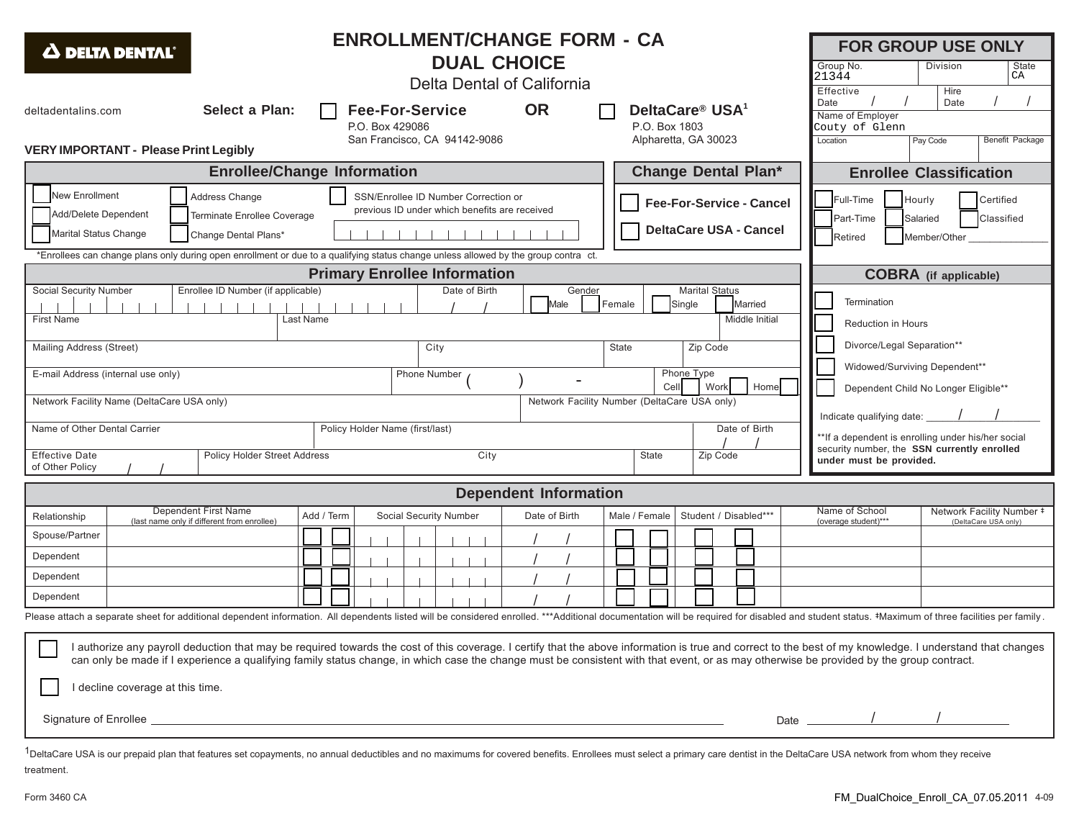| <b>ENROLLMENT/CHANGE FORM - CA</b><br>$\Delta$ delta dental<br><b>DUAL CHOICE</b><br>Delta Dental of California                                                                                                                                                                                                                                                                                                                                                                                                                                                                                                                                                                                                                                                                                                                                                                                                           |                                                                     |            |                               |               |               |       |                       |  |                                                                                                                         |                                                                                                    | <b>FOR GROUP USE ONLY</b><br>Group No.<br>Division<br>State<br>21344<br>СA<br>Hire<br>Effective |                        |                                                   |  |
|---------------------------------------------------------------------------------------------------------------------------------------------------------------------------------------------------------------------------------------------------------------------------------------------------------------------------------------------------------------------------------------------------------------------------------------------------------------------------------------------------------------------------------------------------------------------------------------------------------------------------------------------------------------------------------------------------------------------------------------------------------------------------------------------------------------------------------------------------------------------------------------------------------------------------|---------------------------------------------------------------------|------------|-------------------------------|---------------|---------------|-------|-----------------------|--|-------------------------------------------------------------------------------------------------------------------------|----------------------------------------------------------------------------------------------------|-------------------------------------------------------------------------------------------------|------------------------|---------------------------------------------------|--|
| <b>OR</b><br>Select a Plan:<br><b>Fee-For-Service</b><br>DeltaCare <sup>®</sup> USA <sup>1</sup><br>deltadentalins.com<br>P.O. Box 1803<br>P.O. Box 429086                                                                                                                                                                                                                                                                                                                                                                                                                                                                                                                                                                                                                                                                                                                                                                |                                                                     |            |                               |               |               |       |                       |  | Date<br>Name of Employer<br>Couty of Glenn                                                                              |                                                                                                    | Date                                                                                            | <b>Benefit Package</b> |                                                   |  |
| San Francisco, CA 94142-9086<br>Alpharetta, GA 30023<br><b>VERY IMPORTANT - Please Print Legibly</b>                                                                                                                                                                                                                                                                                                                                                                                                                                                                                                                                                                                                                                                                                                                                                                                                                      |                                                                     |            |                               |               |               |       |                       |  |                                                                                                                         | Location                                                                                           |                                                                                                 | Pay Code               |                                                   |  |
| <b>Enrollee/Change Information</b><br><b>Change Dental Plan*</b>                                                                                                                                                                                                                                                                                                                                                                                                                                                                                                                                                                                                                                                                                                                                                                                                                                                          |                                                                     |            |                               |               |               |       |                       |  | <b>Enrollee Classification</b>                                                                                          |                                                                                                    |                                                                                                 |                        |                                                   |  |
| <b>New Enrollment</b><br>Address Change<br>SSN/Enrollee ID Number Correction or<br><b>Fee-For-Service - Cancel</b><br>previous ID under which benefits are received<br>Add/Delete Dependent<br>Terminate Enrollee Coverage<br><b>DeltaCare USA - Cancel</b><br>Marital Status Change<br>Change Dental Plans*                                                                                                                                                                                                                                                                                                                                                                                                                                                                                                                                                                                                              |                                                                     |            |                               |               |               |       |                       |  |                                                                                                                         | Certified<br>Full-Time<br>Hourly<br>Classified<br>Part-Time<br>Salaried<br>Member/Other<br>Retired |                                                                                                 |                        |                                                   |  |
| *Enrollees can change plans only during open enrollment or due to a qualifying status change unless allowed by the group contra ct.<br><b>Primary Enrollee Information</b>                                                                                                                                                                                                                                                                                                                                                                                                                                                                                                                                                                                                                                                                                                                                                |                                                                     |            |                               |               |               |       |                       |  |                                                                                                                         |                                                                                                    |                                                                                                 |                        |                                                   |  |
| <b>Social Security Number</b><br>Enrollee ID Number (if applicable)<br>Date of Birth<br>Marital Status<br>Gender<br>Female<br>Single<br>Married<br>Male<br><b>First Name</b><br>Middle Initial<br>Last Name                                                                                                                                                                                                                                                                                                                                                                                                                                                                                                                                                                                                                                                                                                               |                                                                     |            |                               |               |               |       |                       |  |                                                                                                                         | <b>COBRA</b> (if applicable)<br>Termination<br>Reduction in Hours                                  |                                                                                                 |                        |                                                   |  |
| Mailing Address (Street)<br>City<br><b>State</b><br>Zip Code<br>Phone Type<br>E-mail Address (internal use only)<br>Phone Number                                                                                                                                                                                                                                                                                                                                                                                                                                                                                                                                                                                                                                                                                                                                                                                          |                                                                     |            |                               |               |               |       |                       |  | Divorce/Legal Separation**<br>Widowed/Surviving Dependent**                                                             |                                                                                                    |                                                                                                 |                        |                                                   |  |
| Home<br>Cell<br>Work<br>Network Facility Name (DeltaCare USA only)<br>Network Facility Number (DeltaCare USA only)<br>Date of Birth<br>Policy Holder Name (first/last)<br>Name of Other Dental Carrier                                                                                                                                                                                                                                                                                                                                                                                                                                                                                                                                                                                                                                                                                                                    |                                                                     |            |                               |               |               |       |                       |  | Dependent Child No Longer Eligible**<br>Indicate qualifying date:<br>**If a dependent is enrolling under his/her social |                                                                                                    |                                                                                                 |                        |                                                   |  |
| <b>Effective Date</b><br>Policy Holder Street Address<br>City<br>of Other Policy                                                                                                                                                                                                                                                                                                                                                                                                                                                                                                                                                                                                                                                                                                                                                                                                                                          |                                                                     |            |                               |               |               | State | Zip Code              |  |                                                                                                                         | security number, the SSN currently enrolled<br>under must be provided.                             |                                                                                                 |                        |                                                   |  |
| <b>Dependent Information</b>                                                                                                                                                                                                                                                                                                                                                                                                                                                                                                                                                                                                                                                                                                                                                                                                                                                                                              |                                                                     |            |                               |               |               |       |                       |  |                                                                                                                         |                                                                                                    |                                                                                                 |                        |                                                   |  |
| Relationship<br>Spouse/Partner                                                                                                                                                                                                                                                                                                                                                                                                                                                                                                                                                                                                                                                                                                                                                                                                                                                                                            | Dependent First Name<br>(last name only if different from enrollee) | Add / Term | <b>Social Security Number</b> | Date of Birth | Male / Female |       | Student / Disabled*** |  |                                                                                                                         | Name of School<br>(overage student)***                                                             |                                                                                                 |                        | Network Facility Number #<br>(DeltaCare USA only) |  |
| Dependent                                                                                                                                                                                                                                                                                                                                                                                                                                                                                                                                                                                                                                                                                                                                                                                                                                                                                                                 |                                                                     |            |                               |               |               |       |                       |  |                                                                                                                         |                                                                                                    |                                                                                                 |                        |                                                   |  |
| Dependent                                                                                                                                                                                                                                                                                                                                                                                                                                                                                                                                                                                                                                                                                                                                                                                                                                                                                                                 |                                                                     |            |                               |               |               |       |                       |  |                                                                                                                         |                                                                                                    |                                                                                                 |                        |                                                   |  |
| Dependent                                                                                                                                                                                                                                                                                                                                                                                                                                                                                                                                                                                                                                                                                                                                                                                                                                                                                                                 |                                                                     |            |                               |               |               |       |                       |  |                                                                                                                         |                                                                                                    |                                                                                                 |                        |                                                   |  |
| Please attach a separate sheet for additional dependent information. All dependents listed will be considered enrolled. ***Additional documentation will be required for disabled and student status. #Maximum of three facili<br>$\overline{\phantom{0}}$<br>authorize any payroll deduction that may be required towards the cost of this coverage. I certify that the above information is true and correct to the best of my knowledge. I understand that changes<br>can only be made if I experience a qualifying family status change, in which case the change must be consistent with that event, or as may otherwise be provided by the group contract.<br>I decline coverage at this time.<br>Date $\frac{1}{\sqrt{1-\frac{1}{2}}}\left\vert \frac{1}{\sqrt{1-\frac{1}{2}}}\right\vert$<br>Signature of Enrollee experience and the contract of the contract of the contract of Enrollee experience of Enrollee |                                                                     |            |                               |               |               |       |                       |  |                                                                                                                         |                                                                                                    |                                                                                                 |                        |                                                   |  |
|                                                                                                                                                                                                                                                                                                                                                                                                                                                                                                                                                                                                                                                                                                                                                                                                                                                                                                                           |                                                                     |            |                               |               |               |       |                       |  |                                                                                                                         |                                                                                                    |                                                                                                 |                        |                                                   |  |

<sup>1</sup>DeltaCare USA is our prepaid plan that features set copayments, no annual deductibles and no maximums for covered benefits. Enrollees must select a primary care dentist in the DeltaCare USA network from whom they receiv treatment.